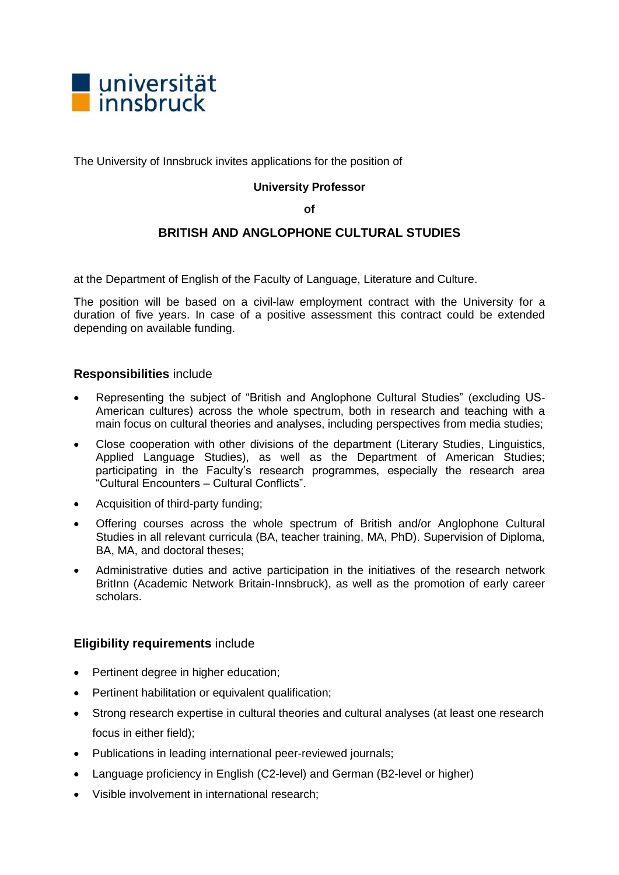

The University of Innsbruck invites applications for the position of

## **University Professor**

**of**

# **BRITISH AND ANGLOPHONE CULTURAL STUDIES**

at the Department of English of the Faculty of Language, Literature and Culture.

The position will be based on a civil-law employment contract with the University for a duration of five years. In case of a positive assessment this contract could be extended depending on available funding.

# **Responsibilities** include

- Representing the subject of "British and Anglophone Cultural Studies" (excluding US-American cultures) across the whole spectrum, both in research and teaching with a main focus on cultural theories and analyses, including perspectives from media studies;
- Close cooperation with other divisions of the department (Literary Studies, Linguistics, Applied Language Studies), as well as the Department of American Studies; participating in the Faculty's research programmes, especially the research area "Cultural Encounters – Cultural Conflicts".
- Acquisition of third-party funding;
- Offering courses across the whole spectrum of British and/or Anglophone Cultural Studies in all relevant curricula (BA, teacher training, MA, PhD). Supervision of Diploma, BA, MA, and doctoral theses;
- Administrative duties and active participation in the initiatives of the research network BritInn (Academic Network Britain-Innsbruck), as well as the promotion of early career scholars.

#### **Eligibility requirements** include

- Pertinent degree in higher education;
- Pertinent habilitation or equivalent qualification;
- Strong research expertise in cultural theories and cultural analyses (at least one research focus in either field);
- Publications in leading international peer-reviewed journals;
- Language proficiency in English (C2-level) and German (B2-level or higher)
- Visible involvement in international research;